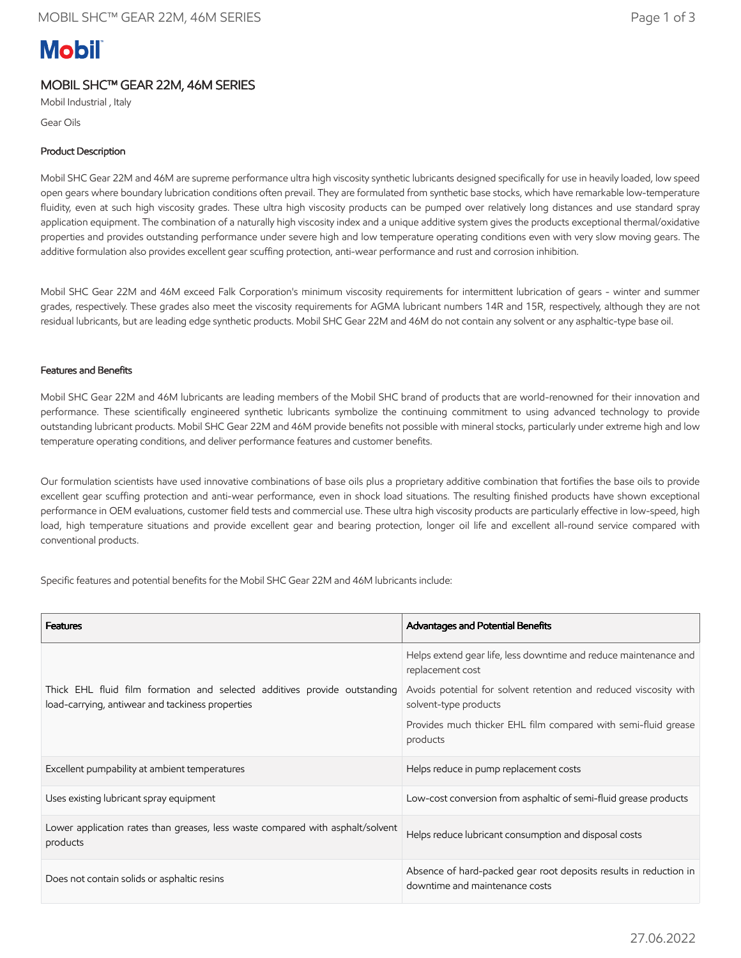# **Mobil**

# MOBIL SHC™ GEAR 22M, 46M SERIES

Mobil Industrial , Italy

Gear Oils

## Product Description

Mobil SHC Gear 22M and 46M are supreme performance ultra high viscosity synthetic lubricants designed specifically for use in heavily loaded, low speed open gears where boundary lubrication conditions often prevail. They are formulated from synthetic base stocks, which have remarkable low-temperature fluidity, even at such high viscosity grades. These ultra high viscosity products can be pumped over relatively long distances and use standard spray application equipment. The combination of a naturally high viscosity index and a unique additive system gives the products exceptional thermal/oxidative properties and provides outstanding performance under severe high and low temperature operating conditions even with very slow moving gears. The additive formulation also provides excellent gear scuffing protection, anti-wear performance and rust and corrosion inhibition.

Mobil SHC Gear 22M and 46M exceed Falk Corporation's minimum viscosity requirements for intermittent lubrication of gears - winter and summer grades, respectively. These grades also meet the viscosity requirements for AGMA lubricant numbers 14R and 15R, respectively, although they are not residual lubricants, but are leading edge synthetic products. Mobil SHC Gear 22M and 46M do not contain any solvent or any asphaltic-type base oil.

## Features and Benefits

Mobil SHC Gear 22M and 46M lubricants are leading members of the Mobil SHC brand of products that are world-renowned for their innovation and performance. These scientifically engineered synthetic lubricants symbolize the continuing commitment to using advanced technology to provide outstanding lubricant products. Mobil SHC Gear 22M and 46M provide benefits not possible with mineral stocks, particularly under extreme high and low temperature operating conditions, and deliver performance features and customer benefits.

Our formulation scientists have used innovative combinations of base oils plus a proprietary additive combination that fortifies the base oils to provide excellent gear scuffing protection and anti-wear performance, even in shock load situations. The resulting finished products have shown exceptional performance in OEM evaluations, customer field tests and commercial use. These ultra high viscosity products are particularly effective in low-speed, high load, high temperature situations and provide excellent gear and bearing protection, longer oil life and excellent all-round service compared with conventional products.

Specific features and potential benefits for the Mobil SHC Gear 22M and 46M lubricants include:

| <b>Features</b>                                                                                                               | Advantages and Potential Benefits                                                                   |
|-------------------------------------------------------------------------------------------------------------------------------|-----------------------------------------------------------------------------------------------------|
|                                                                                                                               | Helps extend gear life, less downtime and reduce maintenance and<br>replacement cost                |
| Thick EHL fluid film formation and selected additives provide outstanding<br>load-carrying, antiwear and tackiness properties | Avoids potential for solvent retention and reduced viscosity with<br>solvent-type products          |
|                                                                                                                               | Provides much thicker EHL film compared with semi-fluid grease<br>products                          |
| Excellent pumpability at ambient temperatures                                                                                 | Helps reduce in pump replacement costs                                                              |
| Uses existing lubricant spray equipment                                                                                       | Low-cost conversion from asphaltic of semi-fluid grease products                                    |
| Lower application rates than greases, less waste compared with asphalt/solvent<br>products                                    | Helps reduce lubricant consumption and disposal costs                                               |
| Does not contain solids or asphaltic resins                                                                                   | Absence of hard-packed gear root deposits results in reduction in<br>downtime and maintenance costs |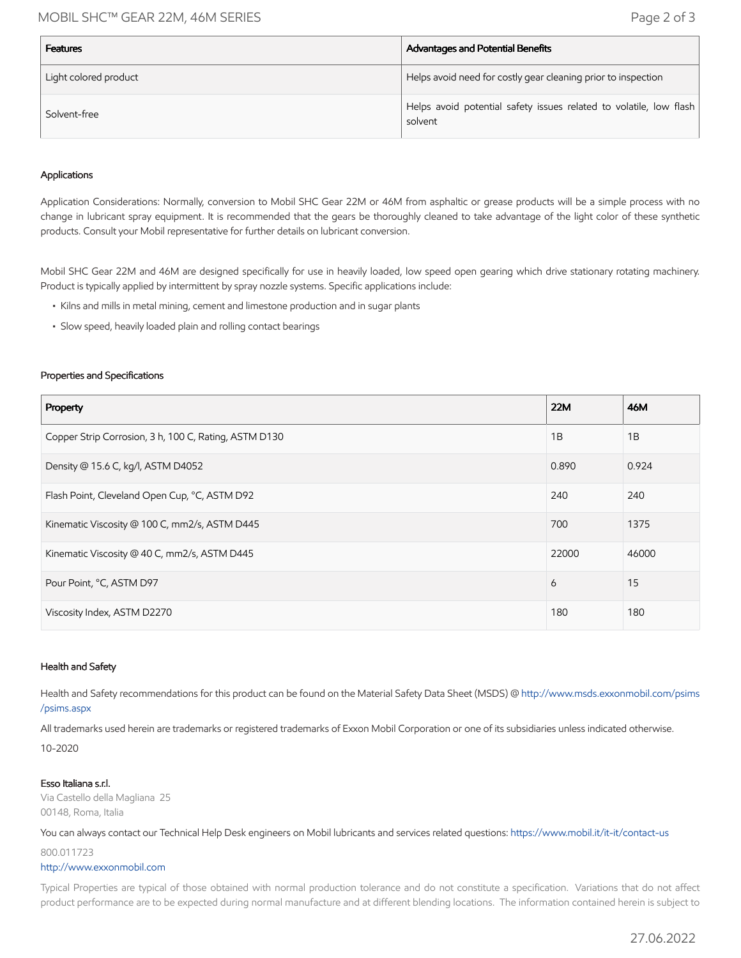## MOBIL SHC™ GEAR 22M, 46M SERIES Page 2 of 3

| <b>Features</b>       | Advantages and Potential Benefits                                             |
|-----------------------|-------------------------------------------------------------------------------|
| Light colored product | Helps avoid need for costly gear cleaning prior to inspection                 |
| Solvent-free          | Helps avoid potential safety issues related to volatile, low flash<br>solvent |

#### Applications

Application Considerations: Normally, conversion to Mobil SHC Gear 22M or 46M from asphaltic or grease products will be a simple process with no change in lubricant spray equipment. It is recommended that the gears be thoroughly cleaned to take advantage of the light color of these synthetic products. Consult your Mobil representative for further details on lubricant conversion.

Mobil SHC Gear 22M and 46M are designed specifically for use in heavily loaded, low speed open gearing which drive stationary rotating machinery. Product is typically applied by intermittent by spray nozzle systems. Specific applications include:

- Kilns and mills in metal mining, cement and limestone production and in sugar plants
- Slow speed, heavily loaded plain and rolling contact bearings

#### Properties and Specifications

| Property                                              | <b>22M</b> | 46M   |
|-------------------------------------------------------|------------|-------|
| Copper Strip Corrosion, 3 h, 100 C, Rating, ASTM D130 | 1B         | 1B    |
| Density @ 15.6 C, kg/l, ASTM D4052                    | 0.890      | 0.924 |
| Flash Point, Cleveland Open Cup, °C, ASTM D92         | 240        | 240   |
| Kinematic Viscosity @ 100 C, mm2/s, ASTM D445         | 700        | 1375  |
| Kinematic Viscosity @ 40 C, mm2/s, ASTM D445          | 22000      | 46000 |
| Pour Point, °C, ASTM D97                              | 6          | 15    |
| Viscosity Index, ASTM D2270                           | 180        | 180   |

#### Health and Safety

Health and Safety recommendations for this product can be found on the Material Safety Data Sheet (MSDS) @ [http://www.msds.exxonmobil.com/psims](http://www.msds.exxonmobil.com/psims/psims.aspx) /psims.aspx

All trademarks used herein are trademarks or registered trademarks of Exxon Mobil Corporation or one of its subsidiaries unless indicated otherwise.

10-2020

#### Esso Italiana s.r.l.

Via Castello della Magliana 25 00148, Roma, Italia

You can always contact our Technical Help Desk engineers on Mobil lubricants and services related questions:<https://www.mobil.it/it-it/contact-us>

800.011723

#### [http://www.exxonmobil.com](http://www.exxonmobil.com/)

Typical Properties are typical of those obtained with normal production tolerance and do not constitute a specification. Variations that do not affect product performance are to be expected during normal manufacture and at different blending locations. The information contained herein is subject to